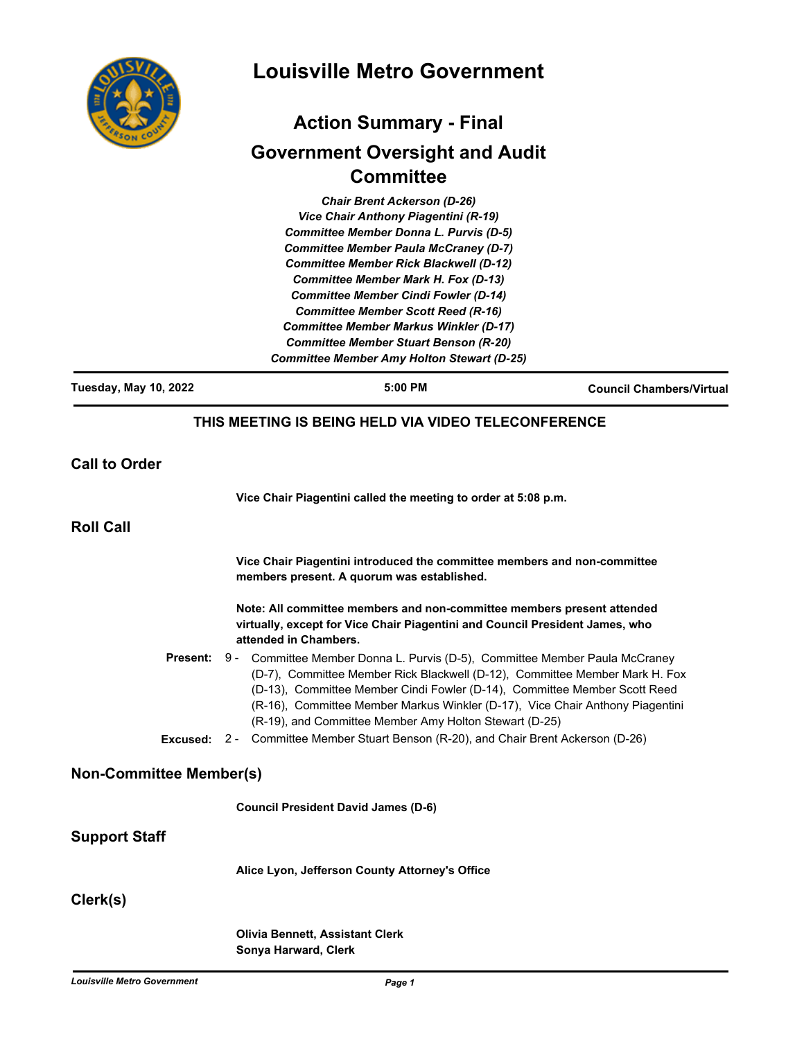

# **Louisville Metro Government**

# **Action Summary - Final Government Oversight and Audit Committee**

*Chair Brent Ackerson (D-26) Vice Chair Anthony Piagentini (R-19) Committee Member Donna L. Purvis (D-5) Committee Member Paula McCraney (D-7) Committee Member Rick Blackwell (D-12) Committee Member Mark H. Fox (D-13) Committee Member Cindi Fowler (D-14) Committee Member Scott Reed (R-16) Committee Member Markus Winkler (D-17) Committee Member Stuart Benson (R-20) Committee Member Amy Holton Stewart (D-25)*

| <b>Tuesday, May 10, 2022</b>   | 5:00 PM                                                                                                                                                                                                                                                                                                                                                                                                                                                                   | <b>Council Chambers/Virtual</b> |
|--------------------------------|---------------------------------------------------------------------------------------------------------------------------------------------------------------------------------------------------------------------------------------------------------------------------------------------------------------------------------------------------------------------------------------------------------------------------------------------------------------------------|---------------------------------|
|                                | THIS MEETING IS BEING HELD VIA VIDEO TELECONFERENCE                                                                                                                                                                                                                                                                                                                                                                                                                       |                                 |
| <b>Call to Order</b>           |                                                                                                                                                                                                                                                                                                                                                                                                                                                                           |                                 |
|                                | Vice Chair Piagentini called the meeting to order at 5:08 p.m.                                                                                                                                                                                                                                                                                                                                                                                                            |                                 |
| <b>Roll Call</b>               |                                                                                                                                                                                                                                                                                                                                                                                                                                                                           |                                 |
|                                | Vice Chair Piagentini introduced the committee members and non-committee<br>members present. A quorum was established.                                                                                                                                                                                                                                                                                                                                                    |                                 |
|                                | Note: All committee members and non-committee members present attended<br>virtually, except for Vice Chair Piagentini and Council President James, who<br>attended in Chambers.                                                                                                                                                                                                                                                                                           |                                 |
| <b>Present:</b>                | 9 - Committee Member Donna L. Purvis (D-5), Committee Member Paula McCraney<br>(D-7), Committee Member Rick Blackwell (D-12), Committee Member Mark H. Fox<br>(D-13), Committee Member Cindi Fowler (D-14), Committee Member Scott Reed<br>(R-16), Committee Member Markus Winkler (D-17), Vice Chair Anthony Piagentini<br>(R-19), and Committee Member Amy Holton Stewart (D-25)<br>Excused: 2 - Committee Member Stuart Benson (R-20), and Chair Brent Ackerson (D-26) |                                 |
| <b>Non-Committee Member(s)</b> |                                                                                                                                                                                                                                                                                                                                                                                                                                                                           |                                 |
|                                | <b>Council President David James (D-6)</b>                                                                                                                                                                                                                                                                                                                                                                                                                                |                                 |
| <b>Support Staff</b>           |                                                                                                                                                                                                                                                                                                                                                                                                                                                                           |                                 |
|                                | Alice Lyon, Jefferson County Attorney's Office                                                                                                                                                                                                                                                                                                                                                                                                                            |                                 |
| Clerk(s)                       |                                                                                                                                                                                                                                                                                                                                                                                                                                                                           |                                 |
|                                | <b>Olivia Bennett, Assistant Clerk</b><br>Sonya Harward, Clerk                                                                                                                                                                                                                                                                                                                                                                                                            |                                 |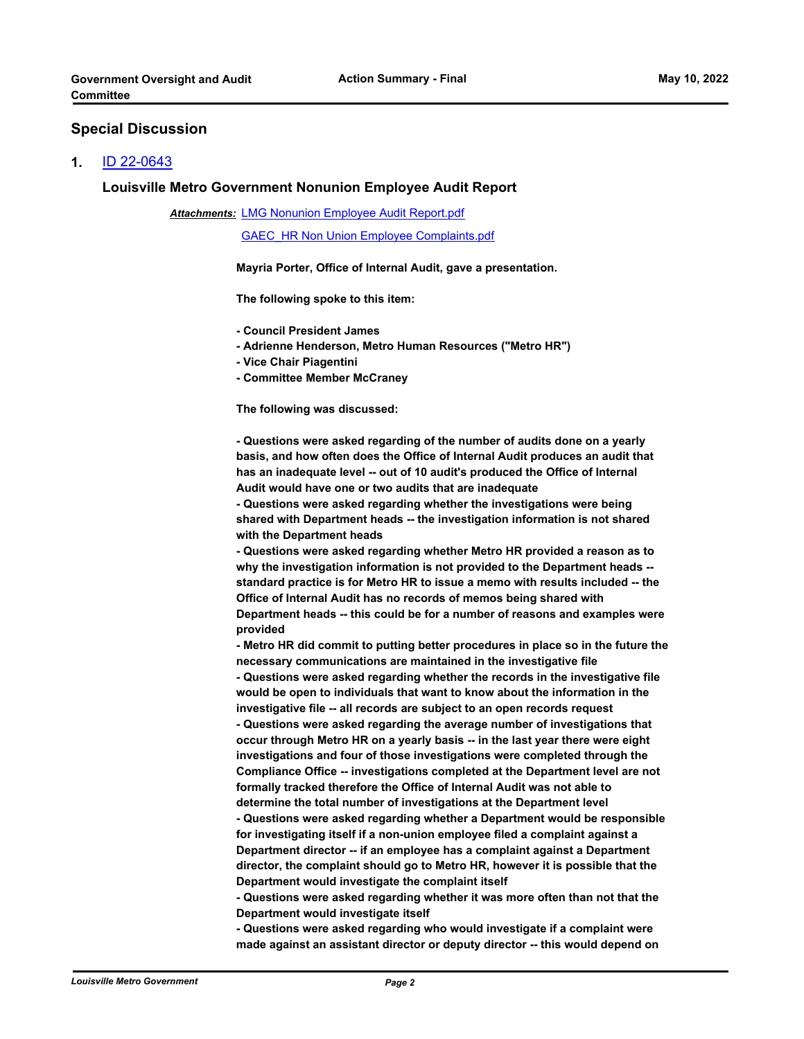#### **Special Discussion**

#### **1.** [ID 22-0643](http://louisville.legistar.com/gateway.aspx?m=l&id=/matter.aspx?key=60235)

#### **Louisville Metro Government Nonunion Employee Audit Report**

**Attachments: [LMG Nonunion Employee Audit Report.pdf](http://louisville.legistar.com/gateway.aspx?M=F&ID=708a37c3-a484-4562-9178-d749dd5bab53.pdf)** 

[GAEC\\_HR Non Union Employee Complaints.pdf](http://louisville.legistar.com/gateway.aspx?M=F&ID=ac3ab43c-5739-4229-922e-39be09b29750.pdf)

**Mayria Porter, Office of Internal Audit, gave a presentation.**

**The following spoke to this item:** 

**- Council President James** 

- **Adrienne Henderson, Metro Human Resources ("Metro HR")**
- **Vice Chair Piagentini**
- **Committee Member McCraney**

**The following was discussed:** 

**- Questions were asked regarding of the number of audits done on a yearly basis, and how often does the Office of Internal Audit produces an audit that has an inadequate level -- out of 10 audit's produced the Office of Internal Audit would have one or two audits that are inadequate** 

**- Questions were asked regarding whether the investigations were being shared with Department heads -- the investigation information is not shared with the Department heads** 

**- Questions were asked regarding whether Metro HR provided a reason as to why the investigation information is not provided to the Department heads - standard practice is for Metro HR to issue a memo with results included -- the Office of Internal Audit has no records of memos being shared with Department heads -- this could be for a number of reasons and examples were provided**

**- Metro HR did commit to putting better procedures in place so in the future the necessary communications are maintained in the investigative file**

**- Questions were asked regarding whether the records in the investigative file would be open to individuals that want to know about the information in the investigative file -- all records are subject to an open records request**

**- Questions were asked regarding the average number of investigations that occur through Metro HR on a yearly basis -- in the last year there were eight investigations and four of those investigations were completed through the Compliance Office -- investigations completed at the Department level are not formally tracked therefore the Office of Internal Audit was not able to** 

**determine the total number of investigations at the Department level - Questions were asked regarding whether a Department would be responsible for investigating itself if a non-union employee filed a complaint against a Department director -- if an employee has a complaint against a Department director, the complaint should go to Metro HR, however it is possible that the Department would investigate the complaint itself** 

**- Questions were asked regarding whether it was more often than not that the Department would investigate itself** 

**- Questions were asked regarding who would investigate if a complaint were made against an assistant director or deputy director -- this would depend on**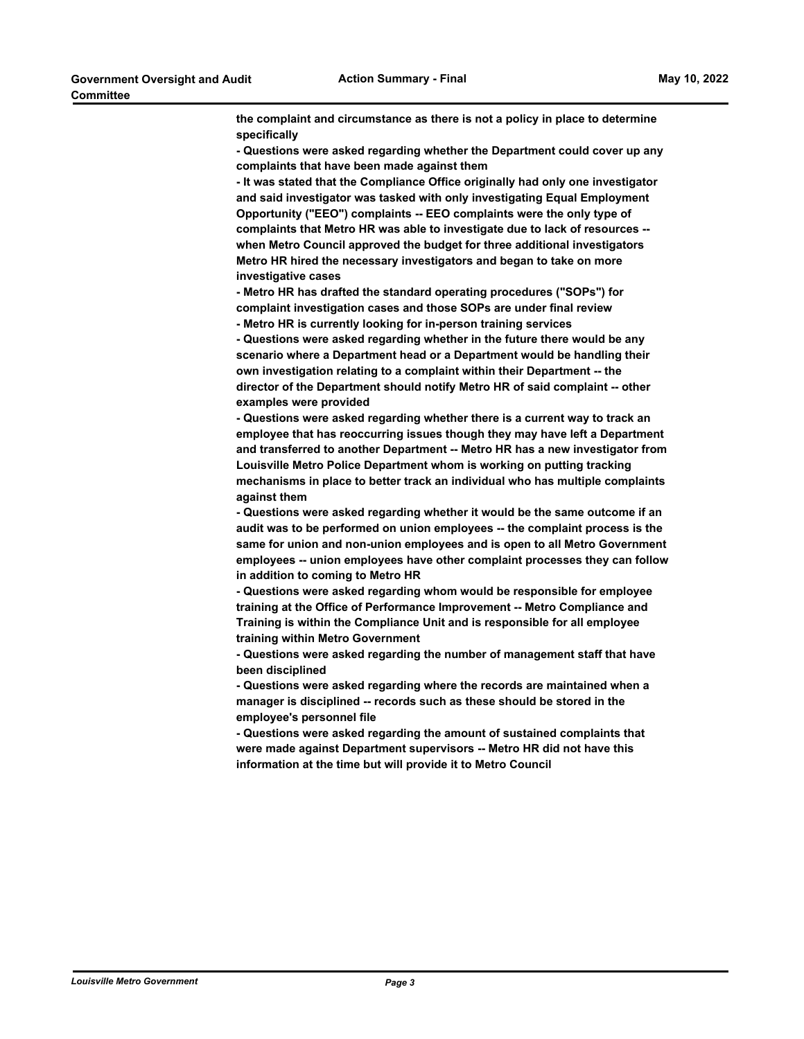**the complaint and circumstance as there is not a policy in place to determine specifically - Questions were asked regarding whether the Department could cover up any complaints that have been made against them - It was stated that the Compliance Office originally had only one investigator and said investigator was tasked with only investigating Equal Employment Opportunity ("EEO") complaints -- EEO complaints were the only type of complaints that Metro HR was able to investigate due to lack of resources - when Metro Council approved the budget for three additional investigators Metro HR hired the necessary investigators and began to take on more investigative cases - Metro HR has drafted the standard operating procedures ("SOPs") for complaint investigation cases and those SOPs are under final review - Metro HR is currently looking for in-person training services - Questions were asked regarding whether in the future there would be any scenario where a Department head or a Department would be handling their own investigation relating to a complaint within their Department -- the director of the Department should notify Metro HR of said complaint -- other examples were provided - Questions were asked regarding whether there is a current way to track an employee that has reoccurring issues though they may have left a Department and transferred to another Department -- Metro HR has a new investigator from Louisville Metro Police Department whom is working on putting tracking mechanisms in place to better track an individual who has multiple complaints against them - Questions were asked regarding whether it would be the same outcome if an audit was to be performed on union employees -- the complaint process is the same for union and non-union employees and is open to all Metro Government employees -- union employees have other complaint processes they can follow in addition to coming to Metro HR - Questions were asked regarding whom would be responsible for employee training at the Office of Performance Improvement -- Metro Compliance and Training is within the Compliance Unit and is responsible for all employee training within Metro Government - Questions were asked regarding the number of management staff that have been disciplined - Questions were asked regarding where the records are maintained when a manager is disciplined -- records such as these should be stored in the employee's personnel file - Questions were asked regarding the amount of sustained complaints that were made against Department supervisors -- Metro HR did not have this** 

**information at the time but will provide it to Metro Council**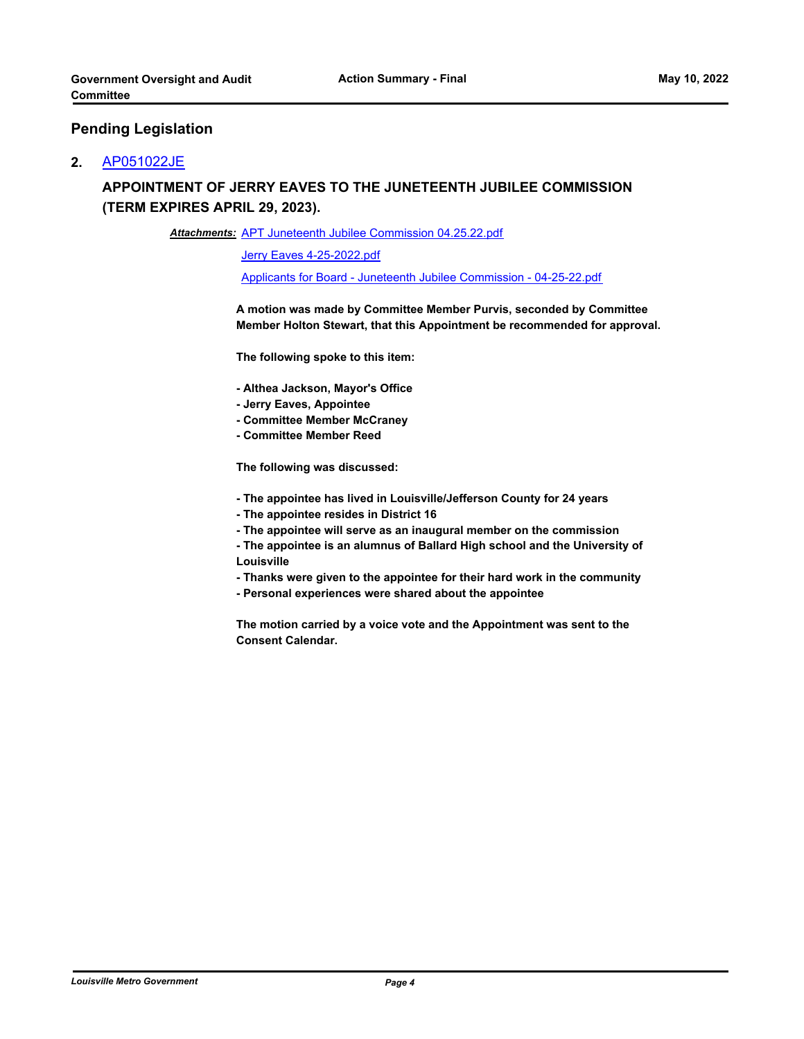#### **Pending Legislation**

#### **2.** [AP051022JE](http://louisville.legistar.com/gateway.aspx?m=l&id=/matter.aspx?key=60209)

## **APPOINTMENT OF JERRY EAVES TO THE JUNETEENTH JUBILEE COMMISSION (TERM EXPIRES APRIL 29, 2023).**

Attachments: [APT Juneteenth Jubilee Commission 04.25.22.pdf](http://louisville.legistar.com/gateway.aspx?M=F&ID=f090a6f6-bec9-4b2e-a59f-7e55b4db3943.pdf)

[Jerry Eaves 4-25-2022.pdf](http://louisville.legistar.com/gateway.aspx?M=F&ID=e6894325-cf7e-4a57-9163-0737a35ebb29.pdf)

[Applicants for Board - Juneteenth Jubilee Commission - 04-25-22.pdf](http://louisville.legistar.com/gateway.aspx?M=F&ID=173c9075-8042-4465-a9ff-828db59467c1.pdf)

**A motion was made by Committee Member Purvis, seconded by Committee Member Holton Stewart, that this Appointment be recommended for approval.** 

**The following spoke to this item:** 

- **Althea Jackson, Mayor's Office**
- **Jerry Eaves, Appointee**
- **Committee Member McCraney**
- **Committee Member Reed**

**The following was discussed:** 

**- The appointee has lived in Louisville/Jefferson County for 24 years** 

- **The appointee resides in District 16**
- **The appointee will serve as an inaugural member on the commission**
- **The appointee is an alumnus of Ballard High school and the University of Louisville**
- **Thanks were given to the appointee for their hard work in the community**
- **Personal experiences were shared about the appointee**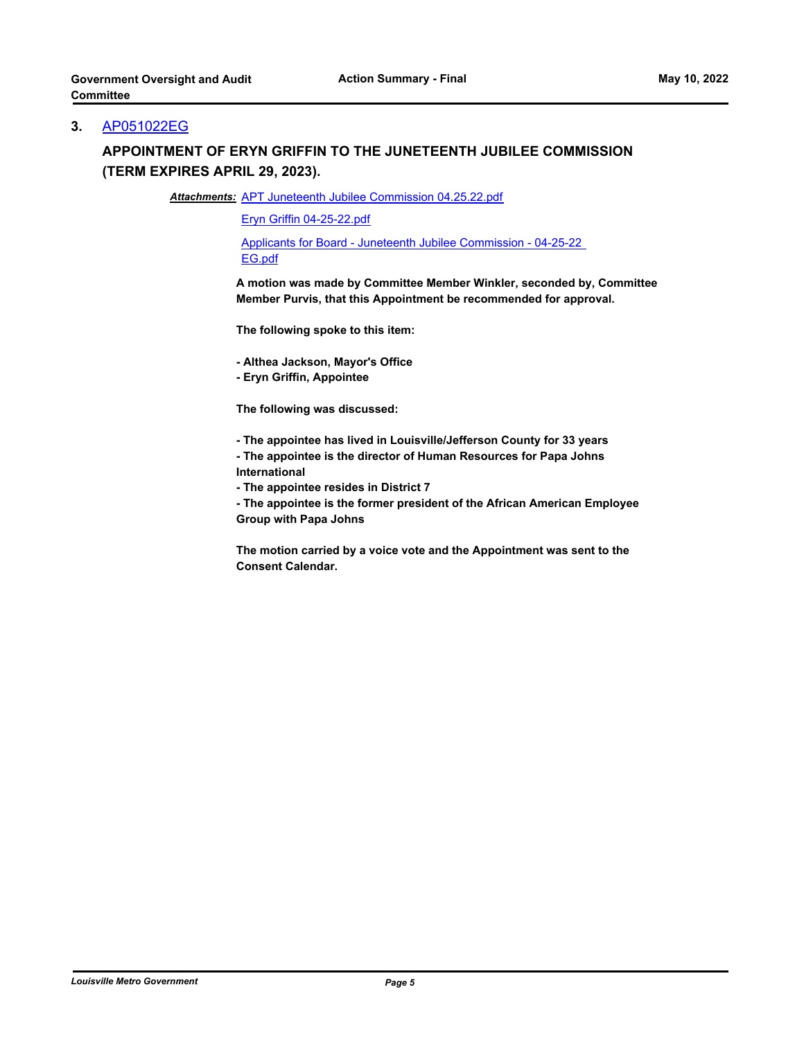## **3.** [AP051022EG](http://louisville.legistar.com/gateway.aspx?m=l&id=/matter.aspx?key=60210)

# **APPOINTMENT OF ERYN GRIFFIN TO THE JUNETEENTH JUBILEE COMMISSION (TERM EXPIRES APRIL 29, 2023).**

Attachments: [APT Juneteenth Jubilee Commission 04.25.22.pdf](http://louisville.legistar.com/gateway.aspx?M=F&ID=70f02813-581d-4681-b54b-f300b8217a51.pdf)

[Eryn Griffin 04-25-22.pdf](http://louisville.legistar.com/gateway.aspx?M=F&ID=2f0993b4-6454-4a59-a350-48c3f98c3f26.pdf)

[Applicants for Board - Juneteenth Jubilee Commission - 04-25-22](http://louisville.legistar.com/gateway.aspx?M=F&ID=c4eb371c-3e90-4241-b34d-30ae5406f16f.pdf)  EG.pdf

**A motion was made by Committee Member Winkler, seconded by, Committee Member Purvis, that this Appointment be recommended for approval.**

**The following spoke to this item:**

**- Althea Jackson, Mayor's Office**

**- Eryn Griffin, Appointee**

**The following was discussed:** 

- **The appointee has lived in Louisville/Jefferson County for 33 years**
- **The appointee is the director of Human Resources for Papa Johns International** 
	- **The appointee resides in District 7**

**- The appointee is the former president of the African American Employee Group with Papa Johns**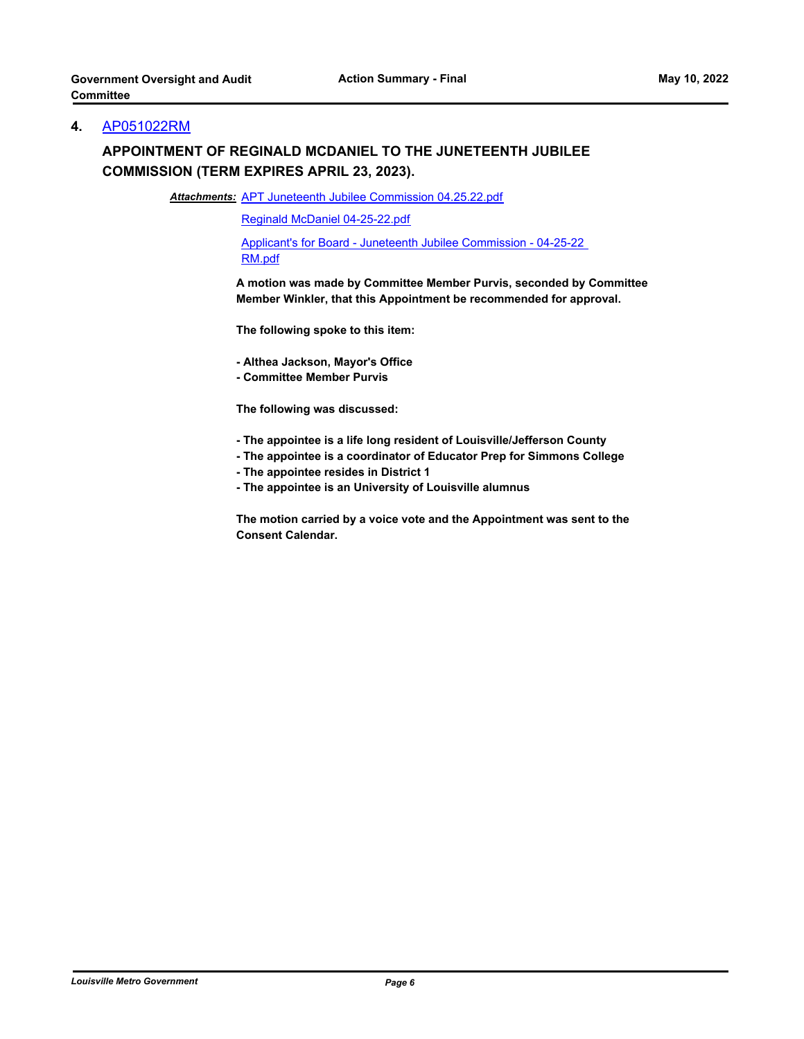## **4.** [AP051022RM](http://louisville.legistar.com/gateway.aspx?m=l&id=/matter.aspx?key=60211)

# **APPOINTMENT OF REGINALD MCDANIEL TO THE JUNETEENTH JUBILEE COMMISSION (TERM EXPIRES APRIL 23, 2023).**

Attachments: [APT Juneteenth Jubilee Commission 04.25.22.pdf](http://louisville.legistar.com/gateway.aspx?M=F&ID=359b2546-8692-4642-8752-522249710bd9.pdf)

[Reginald McDaniel 04-25-22.pdf](http://louisville.legistar.com/gateway.aspx?M=F&ID=14b2ad6f-3ab8-427d-a6fe-3f18cdac1886.pdf)

[Applicant's for Board - Juneteenth Jubilee Commission - 04-25-22](http://louisville.legistar.com/gateway.aspx?M=F&ID=e7174673-2807-4905-91ec-b366890f2be4.pdf)  RM.pdf

**A motion was made by Committee Member Purvis, seconded by Committee Member Winkler, that this Appointment be recommended for approval.**

**The following spoke to this item:**

**- Althea Jackson, Mayor's Office** 

**- Committee Member Purvis** 

**The following was discussed:** 

- **The appointee is a life long resident of Louisville/Jefferson County**
- **The appointee is a coordinator of Educator Prep for Simmons College**
- **The appointee resides in District 1**
- **The appointee is an University of Louisville alumnus**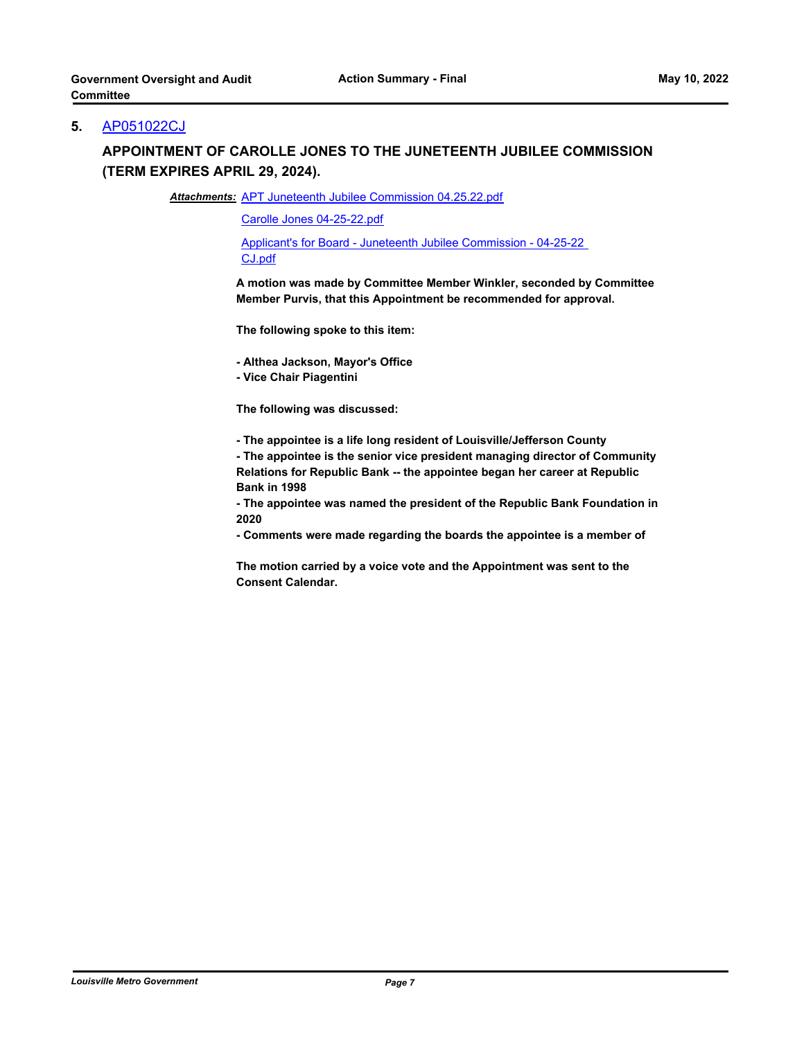## **5.** [AP051022CJ](http://louisville.legistar.com/gateway.aspx?m=l&id=/matter.aspx?key=60212)

## **APPOINTMENT OF CAROLLE JONES TO THE JUNETEENTH JUBILEE COMMISSION (TERM EXPIRES APRIL 29, 2024).**

Attachments: [APT Juneteenth Jubilee Commission 04.25.22.pdf](http://louisville.legistar.com/gateway.aspx?M=F&ID=4ae06ebd-4219-4fb6-b669-5ff302fd3b0b.pdf)

[Carolle Jones 04-25-22.pdf](http://louisville.legistar.com/gateway.aspx?M=F&ID=c6407e24-edac-46ed-a808-cc8bad8433bf.pdf)

[Applicant's for Board - Juneteenth Jubilee Commission - 04-25-22](http://louisville.legistar.com/gateway.aspx?M=F&ID=3f36fadf-756e-419f-abc7-3e4aef6ccb74.pdf)  CJ.pdf

**A motion was made by Committee Member Winkler, seconded by Committee Member Purvis, that this Appointment be recommended for approval.** 

**The following spoke to this item:** 

**- Althea Jackson, Mayor's Office**

**- Vice Chair Piagentini**

**The following was discussed:** 

**- The appointee is a life long resident of Louisville/Jefferson County** 

**- The appointee is the senior vice president managing director of Community Relations for Republic Bank -- the appointee began her career at Republic Bank in 1998**

**- The appointee was named the president of the Republic Bank Foundation in 2020**

**- Comments were made regarding the boards the appointee is a member of**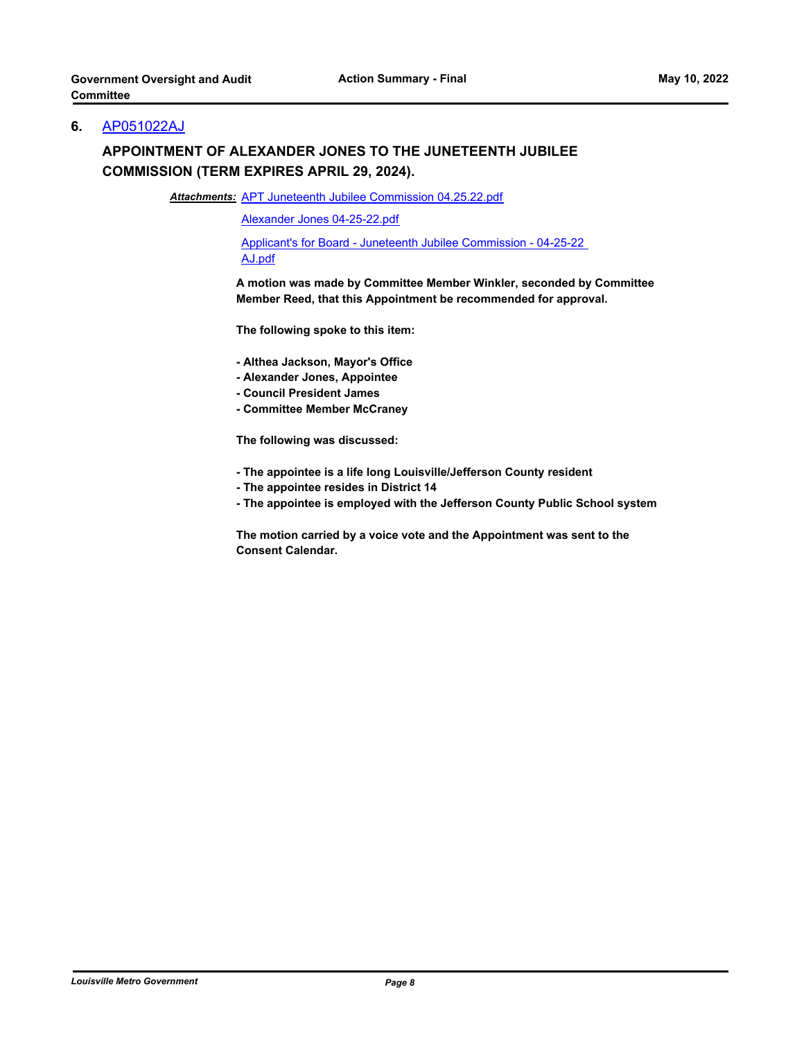## **6.** [AP051022AJ](http://louisville.legistar.com/gateway.aspx?m=l&id=/matter.aspx?key=60213)

# **APPOINTMENT OF ALEXANDER JONES TO THE JUNETEENTH JUBILEE COMMISSION (TERM EXPIRES APRIL 29, 2024).**

Attachments: [APT Juneteenth Jubilee Commission 04.25.22.pdf](http://louisville.legistar.com/gateway.aspx?M=F&ID=9fce4fff-742a-404c-9c07-d0bacd5fb898.pdf)

[Alexander Jones 04-25-22.pdf](http://louisville.legistar.com/gateway.aspx?M=F&ID=5e84192d-bfe6-4c3c-9bc9-385e76db638a.pdf)

[Applicant's for Board - Juneteenth Jubilee Commission - 04-25-22](http://louisville.legistar.com/gateway.aspx?M=F&ID=d605910a-345b-41c0-84e4-444ab4e7a8c8.pdf)  AJ.pdf

**A motion was made by Committee Member Winkler, seconded by Committee Member Reed, that this Appointment be recommended for approval.**

**The following spoke to this item:** 

- **Althea Jackson, Mayor's Office**
- **Alexander Jones, Appointee**
- **Council President James**
- **Committee Member McCraney**

**The following was discussed:** 

- **The appointee is a life long Louisville/Jefferson County resident**
- **The appointee resides in District 14**
- **The appointee is employed with the Jefferson County Public School system**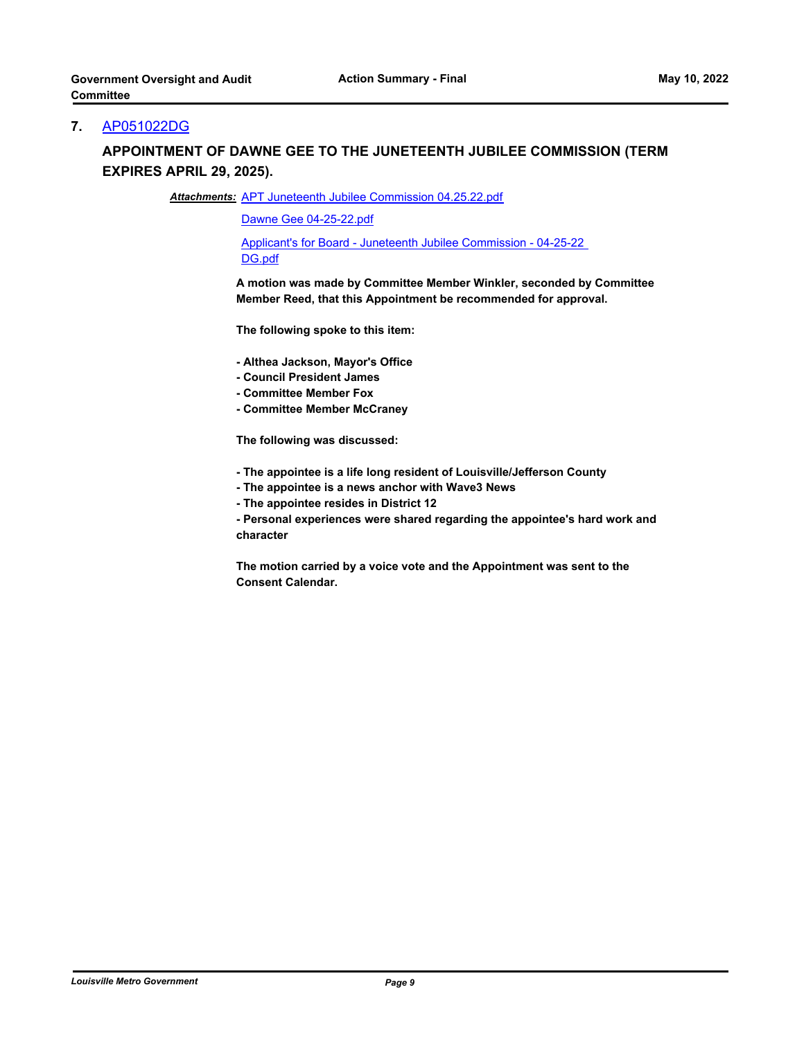## **7.** [AP051022DG](http://louisville.legistar.com/gateway.aspx?m=l&id=/matter.aspx?key=60214)

## **APPOINTMENT OF DAWNE GEE TO THE JUNETEENTH JUBILEE COMMISSION (TERM EXPIRES APRIL 29, 2025).**

Attachments: [APT Juneteenth Jubilee Commission 04.25.22.pdf](http://louisville.legistar.com/gateway.aspx?M=F&ID=d4562322-74af-49bc-a3d7-72c6f6f1ce9a.pdf)

[Dawne Gee 04-25-22.pdf](http://louisville.legistar.com/gateway.aspx?M=F&ID=ff3373fa-94a7-4136-b4f4-745412dfc96a.pdf)

[Applicant's for Board - Juneteenth Jubilee Commission - 04-25-22](http://louisville.legistar.com/gateway.aspx?M=F&ID=2a5451fb-c3ec-435e-a2db-1a42ea462f19.pdf)  DG.pdf

**A motion was made by Committee Member Winkler, seconded by Committee Member Reed, that this Appointment be recommended for approval.**

**The following spoke to this item:** 

- **Althea Jackson, Mayor's Office**
- **Council President James**
- **Committee Member Fox**
- **Committee Member McCraney**

**The following was discussed:** 

- **The appointee is a life long resident of Louisville/Jefferson County**
- **The appointee is a news anchor with Wave3 News**
- **The appointee resides in District 12**

**- Personal experiences were shared regarding the appointee's hard work and character**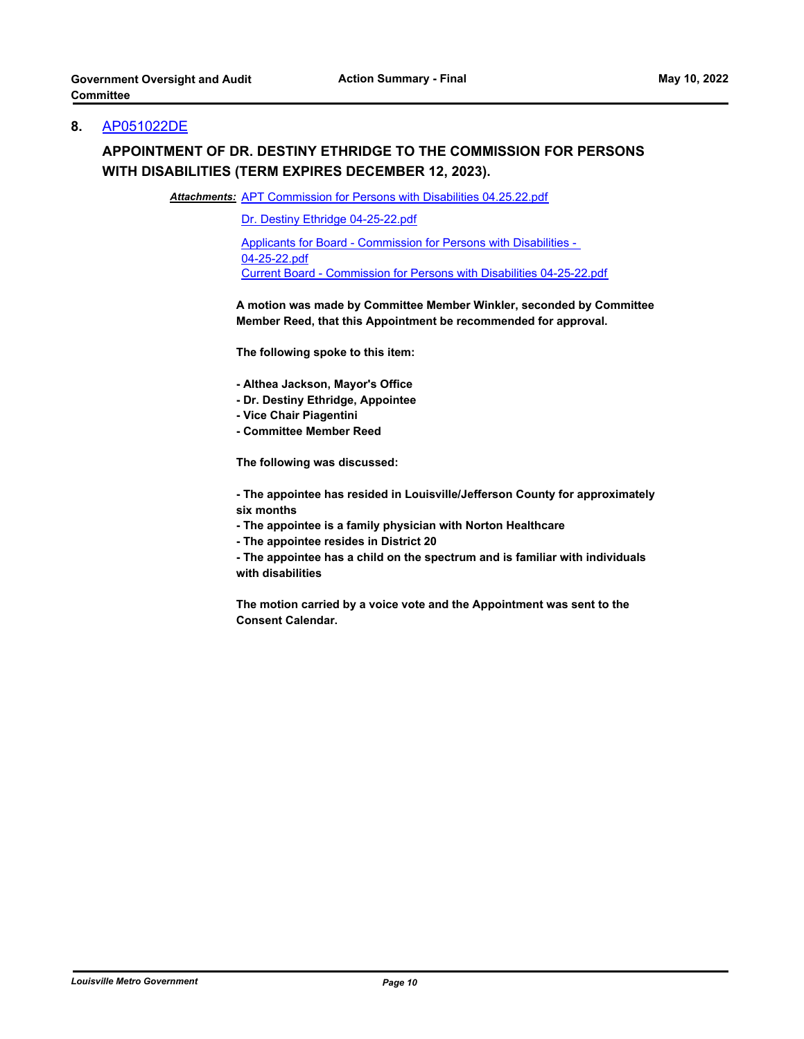## **8.** [AP051022DE](http://louisville.legistar.com/gateway.aspx?m=l&id=/matter.aspx?key=60215)

## **APPOINTMENT OF DR. DESTINY ETHRIDGE TO THE COMMISSION FOR PERSONS WITH DISABILITIES (TERM EXPIRES DECEMBER 12, 2023).**

Attachments: [APT Commission for Persons with Disabilities 04.25.22.pdf](http://louisville.legistar.com/gateway.aspx?M=F&ID=710323f1-bf5d-4d45-8d9b-ef003dec047a.pdf)

[Dr. Destiny Ethridge 04-25-22.pdf](http://louisville.legistar.com/gateway.aspx?M=F&ID=6e1e04bd-adc1-4e54-90b2-b191addd419f.pdf)

[Applicants for Board - Commission for Persons with Disabilities -](http://louisville.legistar.com/gateway.aspx?M=F&ID=06d23941-f708-42e4-9d11-cd703f39a7e0.pdf)  04-25-22.pdf [Current Board - Commission for Persons with Disabilities 04-25-22.pdf](http://louisville.legistar.com/gateway.aspx?M=F&ID=379058d4-2152-46f9-8410-b119ccfbcda4.pdf)

**A motion was made by Committee Member Winkler, seconded by Committee Member Reed, that this Appointment be recommended for approval.**

**The following spoke to this item:** 

- **Althea Jackson, Mayor's Office**
- **Dr. Destiny Ethridge, Appointee**
- **Vice Chair Piagentini**
- **Committee Member Reed**

**The following was discussed:** 

**- The appointee has resided in Louisville/Jefferson County for approximately six months** 

- **The appointee is a family physician with Norton Healthcare**
- **The appointee resides in District 20**
- **The appointee has a child on the spectrum and is familiar with individuals with disabilities**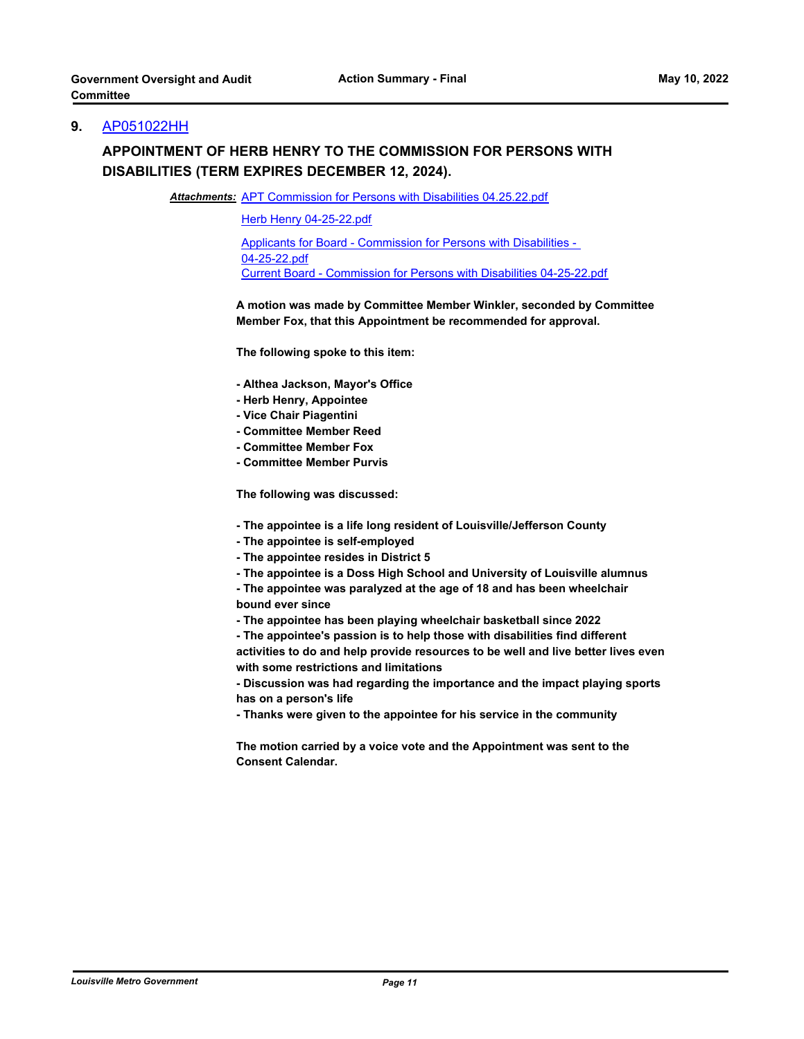#### **9.** [AP051022HH](http://louisville.legistar.com/gateway.aspx?m=l&id=/matter.aspx?key=60216)

## **APPOINTMENT OF HERB HENRY TO THE COMMISSION FOR PERSONS WITH DISABILITIES (TERM EXPIRES DECEMBER 12, 2024).**

Attachments: [APT Commission for Persons with Disabilities 04.25.22.pdf](http://louisville.legistar.com/gateway.aspx?M=F&ID=ec715848-e280-4fb3-9f51-e0048a58e870.pdf)

[Herb Henry 04-25-22.pdf](http://louisville.legistar.com/gateway.aspx?M=F&ID=fd3f6247-e005-468c-b783-a2df6f006ca6.pdf)

[Applicants for Board - Commission for Persons with Disabilities -](http://louisville.legistar.com/gateway.aspx?M=F&ID=9ebaddb0-7c2d-4a3f-82fa-0891bb3f3198.pdf)  04-25-22.pdf [Current Board - Commission for Persons with Disabilities 04-25-22.pdf](http://louisville.legistar.com/gateway.aspx?M=F&ID=584abec4-d59b-4993-aebe-4f2aa5101dfe.pdf)

**A motion was made by Committee Member Winkler, seconded by Committee Member Fox, that this Appointment be recommended for approval.**

**The following spoke to this item:** 

- **Althea Jackson, Mayor's Office**
- **Herb Henry, Appointee**
- **Vice Chair Piagentini**
- **Committee Member Reed**
- **Committee Member Fox**
- **Committee Member Purvis**

**The following was discussed:** 

- **The appointee is a life long resident of Louisville/Jefferson County**
- **The appointee is self-employed**
- **The appointee resides in District 5**
- **The appointee is a Doss High School and University of Louisville alumnus**
- **The appointee was paralyzed at the age of 18 and has been wheelchair bound ever since**
- **The appointee has been playing wheelchair basketball since 2022**
- **The appointee's passion is to help those with disabilities find different activities to do and help provide resources to be well and live better lives even with some restrictions and limitations**
- **Discussion was had regarding the importance and the impact playing sports has on a person's life**
- **Thanks were given to the appointee for his service in the community**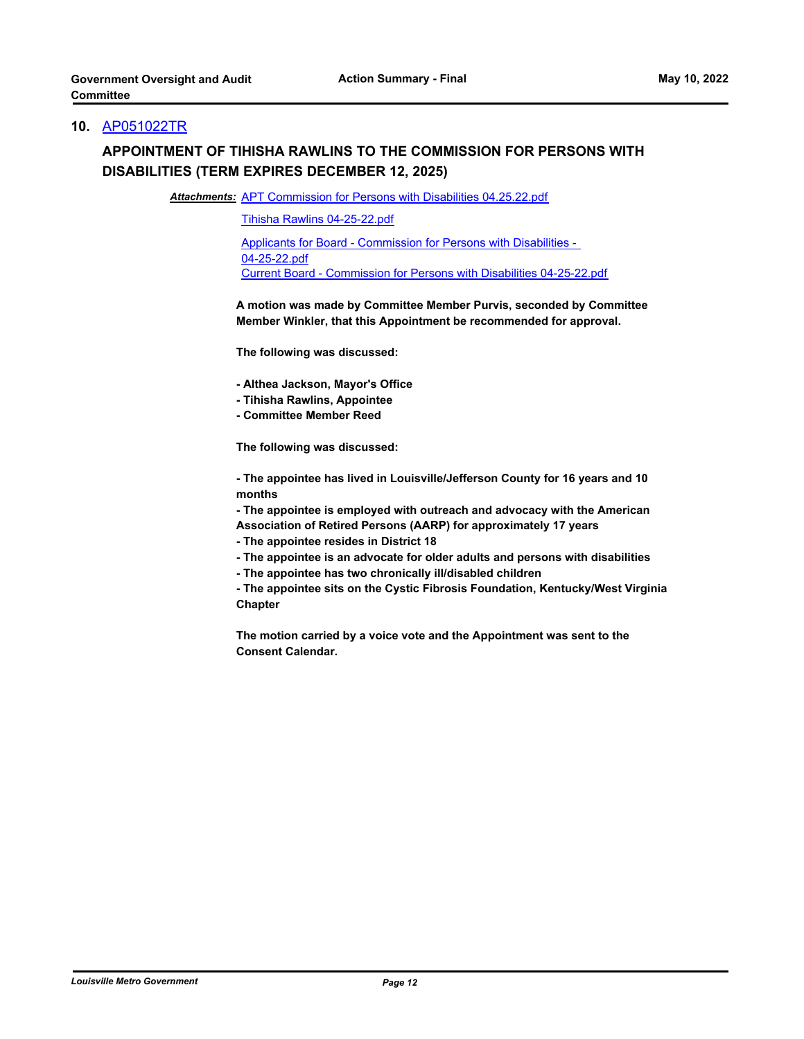## **10.** [AP051022TR](http://louisville.legistar.com/gateway.aspx?m=l&id=/matter.aspx?key=60217)

# **APPOINTMENT OF TIHISHA RAWLINS TO THE COMMISSION FOR PERSONS WITH DISABILITIES (TERM EXPIRES DECEMBER 12, 2025)**

Attachments: [APT Commission for Persons with Disabilities 04.25.22.pdf](http://louisville.legistar.com/gateway.aspx?M=F&ID=743736dc-c818-448f-9c0f-e5181bccfbc8.pdf)

[Tihisha Rawlins 04-25-22.pdf](http://louisville.legistar.com/gateway.aspx?M=F&ID=45884fb2-caf2-4243-b456-d9503be96208.pdf)

[Applicants for Board - Commission for Persons with Disabilities -](http://louisville.legistar.com/gateway.aspx?M=F&ID=830de41c-ebfb-4ed3-b8a5-bd90906b40d7.pdf)  04-25-22.pdf [Current Board - Commission for Persons with Disabilities 04-25-22.pdf](http://louisville.legistar.com/gateway.aspx?M=F&ID=0e48a537-1fa5-4066-a3f7-624fd27a87af.pdf)

**A motion was made by Committee Member Purvis, seconded by Committee Member Winkler, that this Appointment be recommended for approval.** 

**The following was discussed:** 

- **Althea Jackson, Mayor's Office**
- **Tihisha Rawlins, Appointee**
- **Committee Member Reed**

**The following was discussed:** 

**- The appointee has lived in Louisville/Jefferson County for 16 years and 10 months** 

**- The appointee is employed with outreach and advocacy with the American Association of Retired Persons (AARP) for approximately 17 years** 

**- The appointee resides in District 18** 

**- The appointee is an advocate for older adults and persons with disabilities** 

**- The appointee has two chronically ill/disabled children** 

**- The appointee sits on the Cystic Fibrosis Foundation, Kentucky/West Virginia Chapter**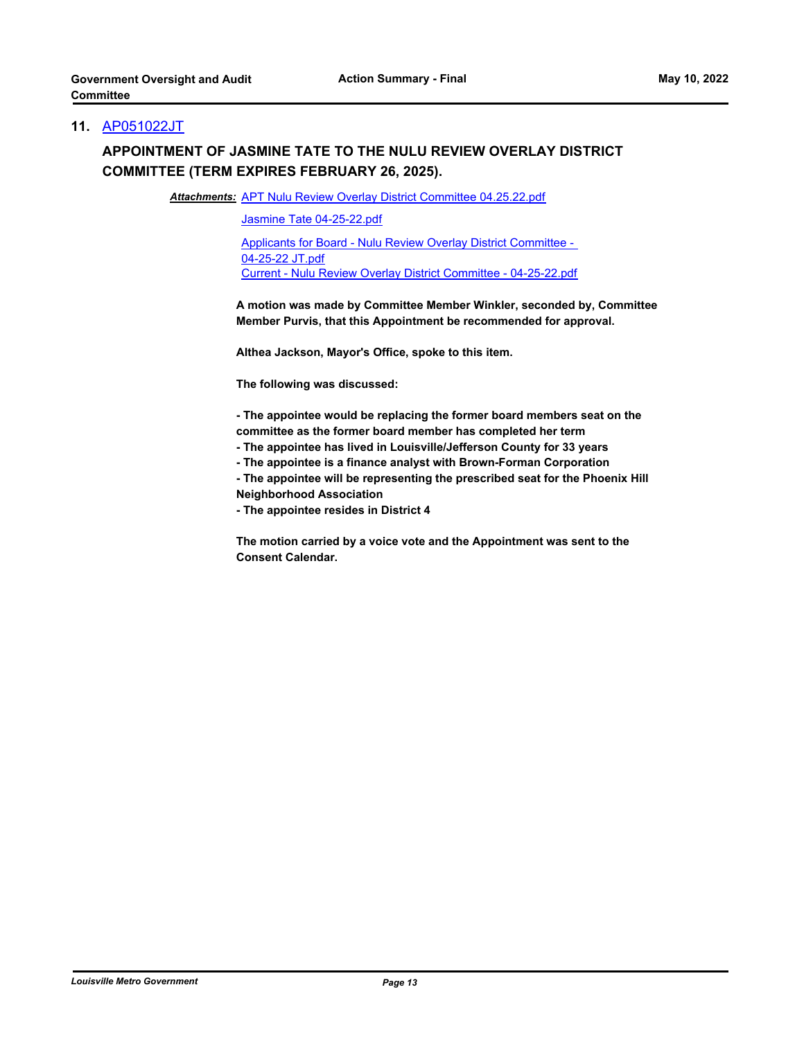## **11.** [AP051022JT](http://louisville.legistar.com/gateway.aspx?m=l&id=/matter.aspx?key=60218)

# **APPOINTMENT OF JASMINE TATE TO THE NULU REVIEW OVERLAY DISTRICT COMMITTEE (TERM EXPIRES FEBRUARY 26, 2025).**

Attachments: [APT Nulu Review Overlay District Committee 04.25.22.pdf](http://louisville.legistar.com/gateway.aspx?M=F&ID=0efda11e-c92a-4e3e-9fb5-31507d5ef1e7.pdf)

[Jasmine Tate 04-25-22.pdf](http://louisville.legistar.com/gateway.aspx?M=F&ID=c2489128-a1f7-431a-9a52-57517b3f90fa.pdf)

[Applicants for Board - Nulu Review Overlay District Committee -](http://louisville.legistar.com/gateway.aspx?M=F&ID=64c1a9b3-774a-414d-a56f-62239546ebae.pdf)  04-25-22 JT.pdf [Current - Nulu Review Overlay District Committee - 04-25-22.pdf](http://louisville.legistar.com/gateway.aspx?M=F&ID=a5b609d3-c237-49c0-b7ed-ceb20feee41c.pdf)

**A motion was made by Committee Member Winkler, seconded by, Committee Member Purvis, that this Appointment be recommended for approval.**

**Althea Jackson, Mayor's Office, spoke to this item.**

**The following was discussed:** 

**- The appointee would be replacing the former board members seat on the committee as the former board member has completed her term**

**- The appointee has lived in Louisville/Jefferson County for 33 years** 

**- The appointee is a finance analyst with Brown-Forman Corporation** 

**- The appointee will be representing the prescribed seat for the Phoenix Hill Neighborhood Association** 

**- The appointee resides in District 4**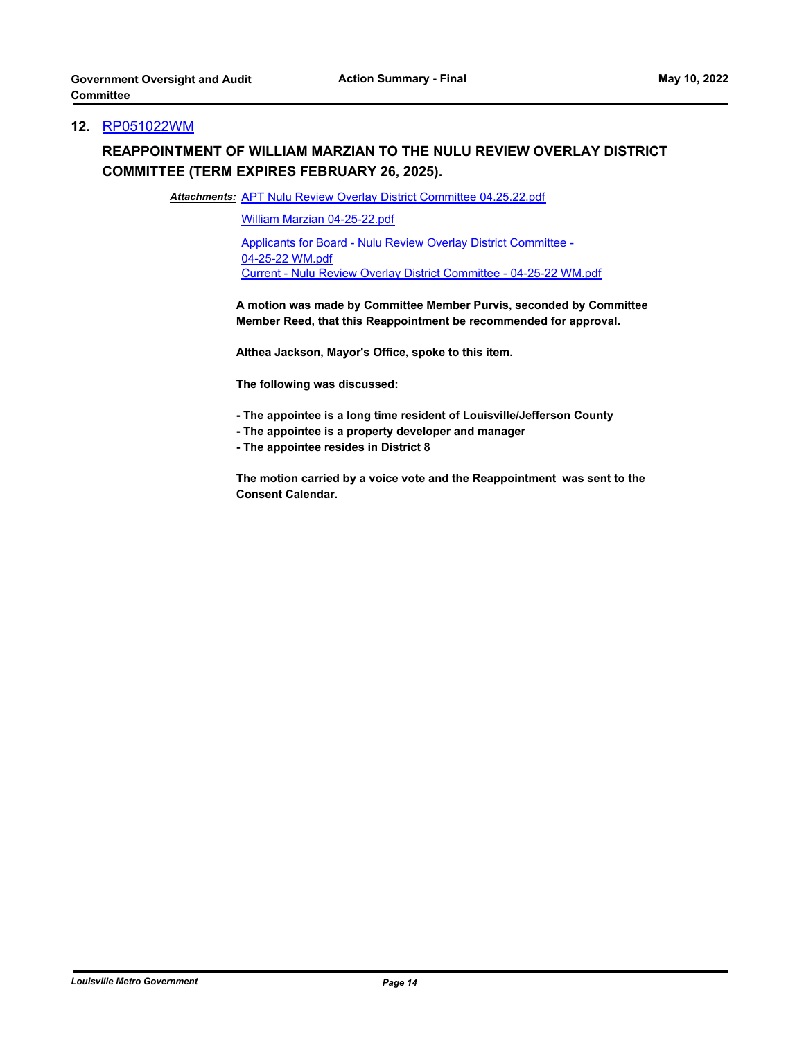#### **12.** [RP051022WM](http://louisville.legistar.com/gateway.aspx?m=l&id=/matter.aspx?key=60219)

## **REAPPOINTMENT OF WILLIAM MARZIAN TO THE NULU REVIEW OVERLAY DISTRICT COMMITTEE (TERM EXPIRES FEBRUARY 26, 2025).**

Attachments: [APT Nulu Review Overlay District Committee 04.25.22.pdf](http://louisville.legistar.com/gateway.aspx?M=F&ID=c4841544-e16f-4b96-bb54-2ec7610cf45f.pdf)

[William Marzian 04-25-22.pdf](http://louisville.legistar.com/gateway.aspx?M=F&ID=038e665f-1a26-4c5b-8077-7e5dde2b79bc.pdf)

[Applicants for Board - Nulu Review Overlay District Committee -](http://louisville.legistar.com/gateway.aspx?M=F&ID=4d920a9f-03db-4269-9c00-0fa75bbac5b0.pdf)  04-25-22 WM.pdf [Current - Nulu Review Overlay District Committee - 04-25-22 WM.pdf](http://louisville.legistar.com/gateway.aspx?M=F&ID=e90fb626-6b76-470b-82b7-87df554b7ae1.pdf)

**A motion was made by Committee Member Purvis, seconded by Committee Member Reed, that this Reappointment be recommended for approval.** 

**Althea Jackson, Mayor's Office, spoke to this item.** 

**The following was discussed:** 

- **The appointee is a long time resident of Louisville/Jefferson County**
- **The appointee is a property developer and manager**
- **The appointee resides in District 8**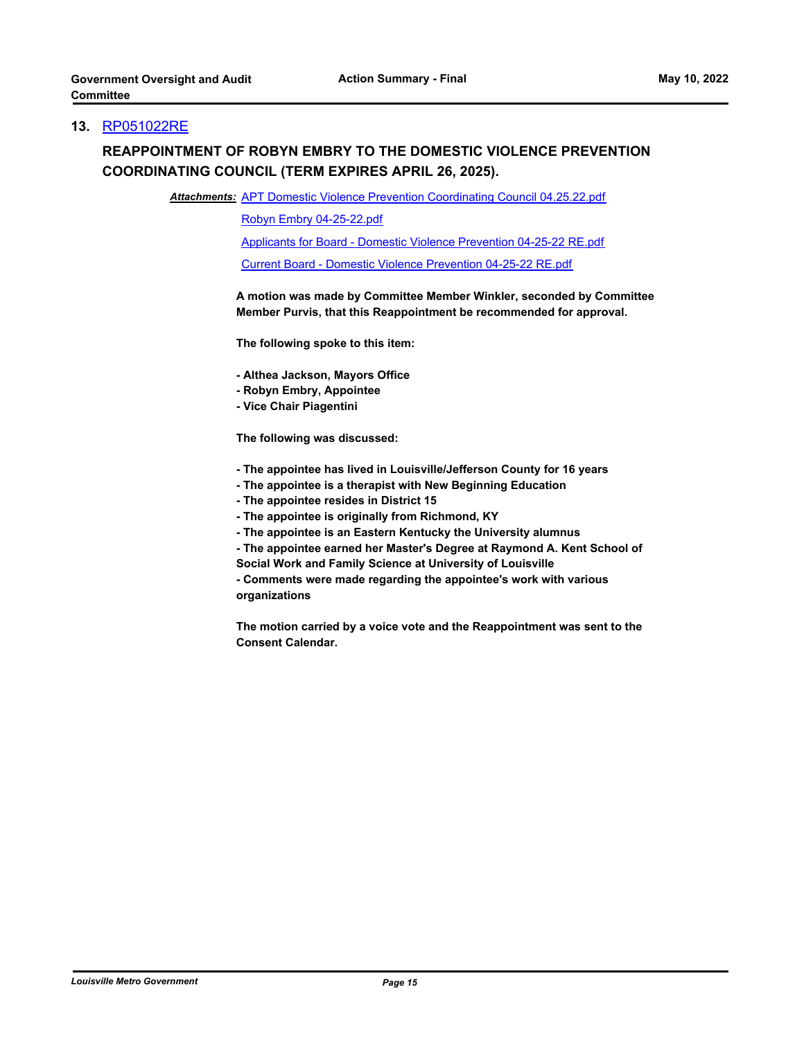### **13.** [RP051022RE](http://louisville.legistar.com/gateway.aspx?m=l&id=/matter.aspx?key=60220)

## **REAPPOINTMENT OF ROBYN EMBRY TO THE DOMESTIC VIOLENCE PREVENTION COORDINATING COUNCIL (TERM EXPIRES APRIL 26, 2025).**

Attachments: [APT Domestic Violence Prevention Coordinating Council 04.25.22.pdf](http://louisville.legistar.com/gateway.aspx?M=F&ID=af2dff5c-ad37-439f-8acf-d4982294f36a.pdf)

[Robyn Embry 04-25-22.pdf](http://louisville.legistar.com/gateway.aspx?M=F&ID=c9e045ca-9ccd-4873-960f-fd984d8ca9be.pdf)

[Applicants for Board - Domestic Violence Prevention 04-25-22 RE.pdf](http://louisville.legistar.com/gateway.aspx?M=F&ID=90ce30cd-428e-42fe-b0ee-ce427dff55c4.pdf)

[Current Board - Domestic Violence Prevention 04-25-22 RE.pdf](http://louisville.legistar.com/gateway.aspx?M=F&ID=d8dac42c-0a0c-4dc1-b5a4-6d547c66dcf8.pdf)

**A motion was made by Committee Member Winkler, seconded by Committee Member Purvis, that this Reappointment be recommended for approval.** 

**The following spoke to this item:** 

**- Althea Jackson, Mayors Office**

- **Robyn Embry, Appointee**
- **Vice Chair Piagentini**

**The following was discussed:** 

- **The appointee has lived in Louisville/Jefferson County for 16 years**
- **The appointee is a therapist with New Beginning Education**
- **The appointee resides in District 15**
- **The appointee is originally from Richmond, KY**
- **The appointee is an Eastern Kentucky the University alumnus**
- **The appointee earned her Master's Degree at Raymond A. Kent School of**
- **Social Work and Family Science at University of Louisville**

**- Comments were made regarding the appointee's work with various organizations**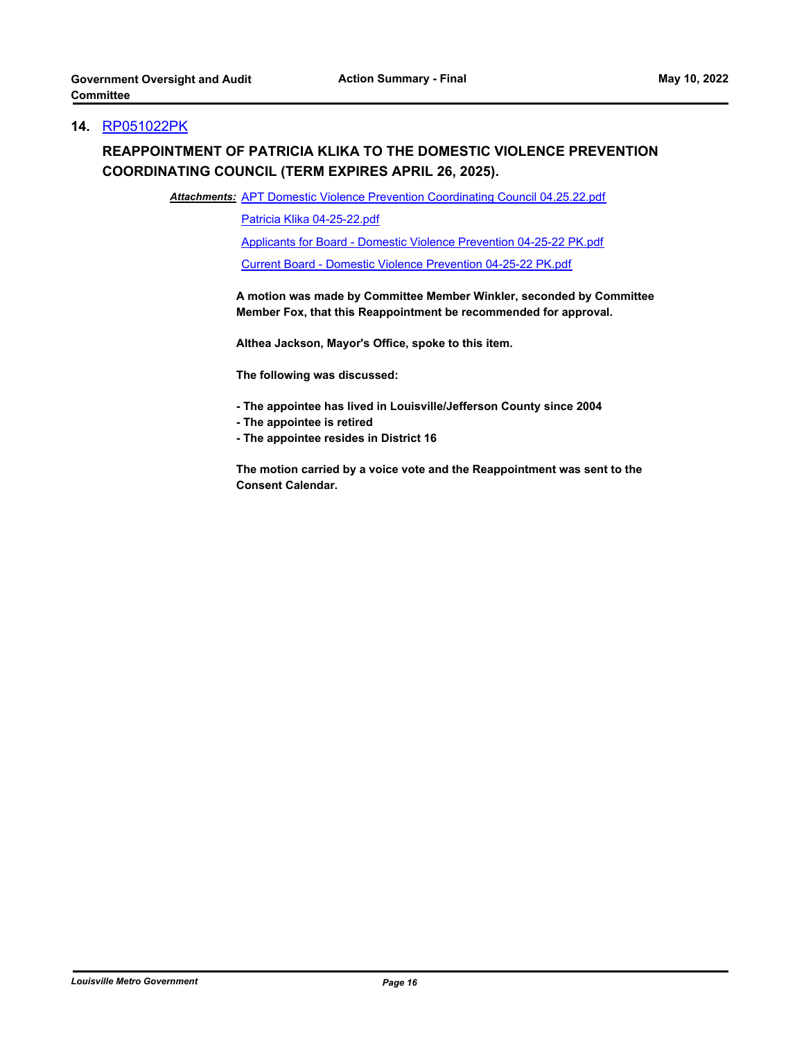## **14.** [RP051022PK](http://louisville.legistar.com/gateway.aspx?m=l&id=/matter.aspx?key=60221)

# **REAPPOINTMENT OF PATRICIA KLIKA TO THE DOMESTIC VIOLENCE PREVENTION COORDINATING COUNCIL (TERM EXPIRES APRIL 26, 2025).**

Attachments: [APT Domestic Violence Prevention Coordinating Council 04.25.22.pdf](http://louisville.legistar.com/gateway.aspx?M=F&ID=8cc32fb9-c2ed-4035-8805-9ea672443ffe.pdf)

[Patricia Klika 04-25-22.pdf](http://louisville.legistar.com/gateway.aspx?M=F&ID=3c2c9f5b-8b8d-4a30-a872-d303d302d6bf.pdf)

[Applicants for Board - Domestic Violence Prevention 04-25-22 PK.pdf](http://louisville.legistar.com/gateway.aspx?M=F&ID=f61e7f50-ef38-4f96-9186-b05f0eef98f1.pdf)

[Current Board - Domestic Violence Prevention 04-25-22 PK.pdf](http://louisville.legistar.com/gateway.aspx?M=F&ID=83fa9d18-183c-4643-95ac-4882f83f3950.pdf)

**A motion was made by Committee Member Winkler, seconded by Committee Member Fox, that this Reappointment be recommended for approval.** 

**Althea Jackson, Mayor's Office, spoke to this item.**

**The following was discussed:** 

- **The appointee has lived in Louisville/Jefferson County since 2004**
- **The appointee is retired**
- **The appointee resides in District 16**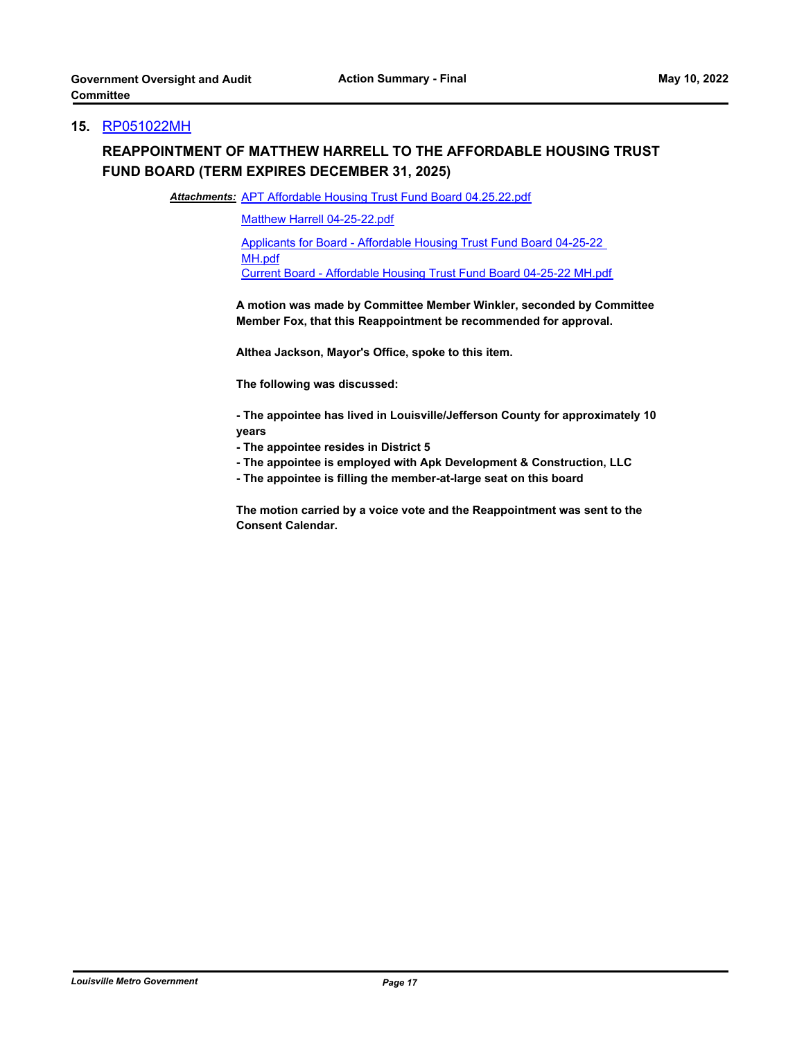#### **15.** [RP051022MH](http://louisville.legistar.com/gateway.aspx?m=l&id=/matter.aspx?key=60222)

## **REAPPOINTMENT OF MATTHEW HARRELL TO THE AFFORDABLE HOUSING TRUST FUND BOARD (TERM EXPIRES DECEMBER 31, 2025)**

Attachments: [APT Affordable Housing Trust Fund Board 04.25.22.pdf](http://louisville.legistar.com/gateway.aspx?M=F&ID=c675a027-f284-474b-b3f4-5111703a24a9.pdf)

[Matthew Harrell 04-25-22.pdf](http://louisville.legistar.com/gateway.aspx?M=F&ID=fc51860a-84aa-4de3-b23a-cdd413e47708.pdf)

[Applicants for Board - Affordable Housing Trust Fund Board 04-25-22](http://louisville.legistar.com/gateway.aspx?M=F&ID=25986be5-a54a-48f1-b485-cb6ebc2ca26e.pdf)  MH.pdf [Current Board - Affordable Housing Trust Fund Board 04-25-22 MH.pdf](http://louisville.legistar.com/gateway.aspx?M=F&ID=b419ffa1-380e-4b51-9a20-77e11d30f159.pdf)

**A motion was made by Committee Member Winkler, seconded by Committee Member Fox, that this Reappointment be recommended for approval.** 

**Althea Jackson, Mayor's Office, spoke to this item.**

**The following was discussed:** 

**- The appointee has lived in Louisville/Jefferson County for approximately 10 years**

- **The appointee resides in District 5**
- **The appointee is employed with Apk Development & Construction, LLC**
- **The appointee is filling the member-at-large seat on this board**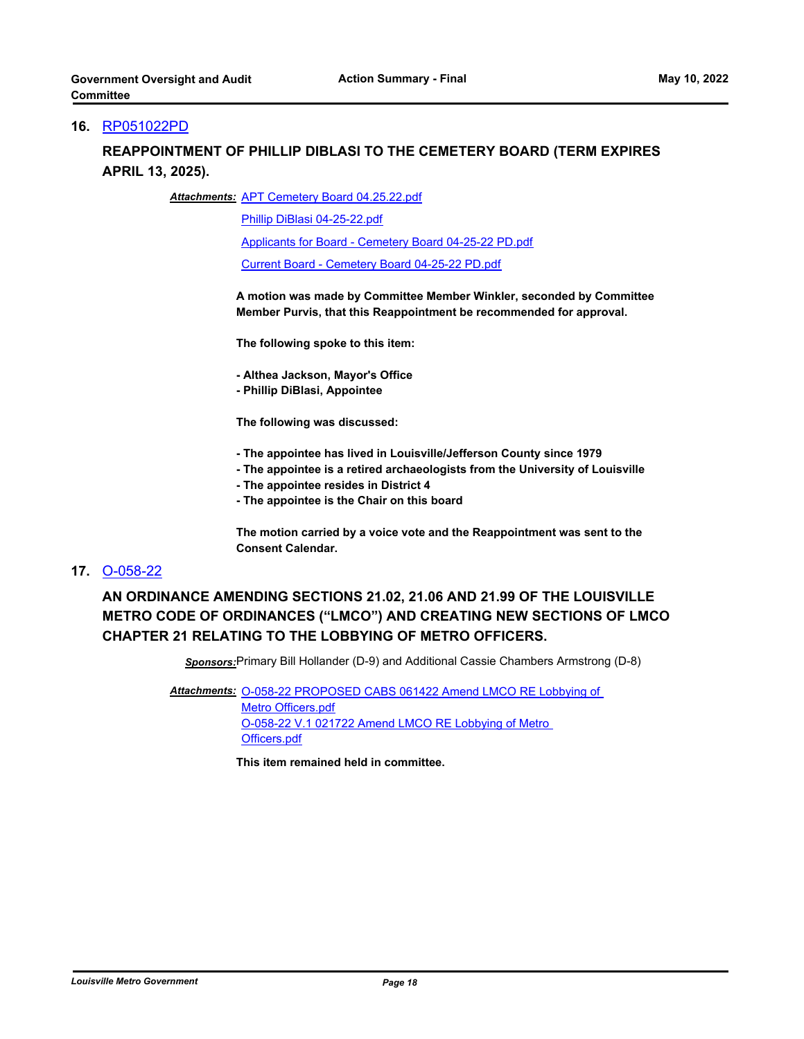#### **16.** [RP051022PD](http://louisville.legistar.com/gateway.aspx?m=l&id=/matter.aspx?key=60223)

## **REAPPOINTMENT OF PHILLIP DIBLASI TO THE CEMETERY BOARD (TERM EXPIRES APRIL 13, 2025).**

#### Attachments: [APT Cemetery Board 04.25.22.pdf](http://louisville.legistar.com/gateway.aspx?M=F&ID=012bb30f-b2f4-442e-b22f-77f81d1fd4ed.pdf)

[Phillip DiBlasi 04-25-22.pdf](http://louisville.legistar.com/gateway.aspx?M=F&ID=3be918b4-ff48-4924-ae89-710b1353850e.pdf)

[Applicants for Board - Cemetery Board 04-25-22 PD.pdf](http://louisville.legistar.com/gateway.aspx?M=F&ID=9b310557-3d0d-48ec-a7d7-4ed16620e97a.pdf)

[Current Board - Cemetery Board 04-25-22 PD.pdf](http://louisville.legistar.com/gateway.aspx?M=F&ID=4629b607-30f2-4151-84fb-ed6ac60210f5.pdf)

**A motion was made by Committee Member Winkler, seconded by Committee Member Purvis, that this Reappointment be recommended for approval.** 

**The following spoke to this item:** 

**- Althea Jackson, Mayor's Office**

**- Phillip DiBlasi, Appointee**

**The following was discussed:** 

- **The appointee has lived in Louisville/Jefferson County since 1979**
- **The appointee is a retired archaeologists from the University of Louisville**
- **The appointee resides in District 4**
- **The appointee is the Chair on this board**

**The motion carried by a voice vote and the Reappointment was sent to the Consent Calendar.**

#### **17.** [O-058-22](http://louisville.legistar.com/gateway.aspx?m=l&id=/matter.aspx?key=59603)

**AN ORDINANCE AMENDING SECTIONS 21.02, 21.06 AND 21.99 OF THE LOUISVILLE METRO CODE OF ORDINANCES ("LMCO") AND CREATING NEW SECTIONS OF LMCO CHAPTER 21 RELATING TO THE LOBBYING OF METRO OFFICERS.**

*Sponsors:*Primary Bill Hollander (D-9) and Additional Cassie Chambers Armstrong (D-8)

Attachments: O-058-22 PROPOSED CABS 061422 Amend LMCO RE Lobbying of Metro Officers.pdf [O-058-22 V.1 021722 Amend LMCO RE Lobbying of Metro](http://louisville.legistar.com/gateway.aspx?M=F&ID=fbf6eef0-c769-407c-acc4-2bb46ce500f2.pdf)  Officers.pdf

**This item remained held in committee.**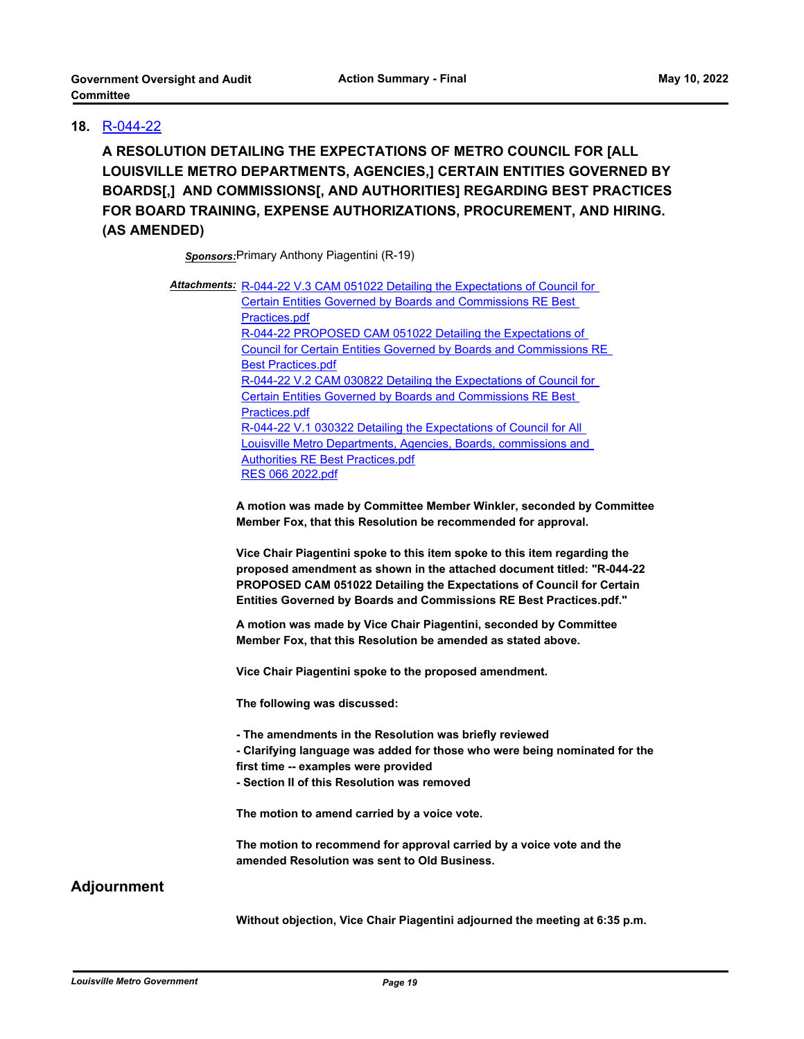## **18.** [R-044-22](http://louisville.legistar.com/gateway.aspx?m=l&id=/matter.aspx?key=59715)

**A RESOLUTION DETAILING THE EXPECTATIONS OF METRO COUNCIL FOR [ALL LOUISVILLE METRO DEPARTMENTS, AGENCIES,] CERTAIN ENTITIES GOVERNED BY BOARDS[,] AND COMMISSIONS[, AND AUTHORITIES] REGARDING BEST PRACTICES FOR BOARD TRAINING, EXPENSE AUTHORIZATIONS, PROCUREMENT, AND HIRING. (AS AMENDED)**

*Sponsors:*Primary Anthony Piagentini (R-19)

| <b>Attachments:</b> R-044-22 V.3 CAM 051022 Detailing the Expectations of Council for |  |
|---------------------------------------------------------------------------------------|--|
| <b>Certain Entities Governed by Boards and Commissions RE Best</b>                    |  |
| Practices.pdf                                                                         |  |
| R-044-22 PROPOSED CAM 051022 Detailing the Expectations of                            |  |
| <b>Council for Certain Entities Governed by Boards and Commissions RE</b>             |  |
| <b>Best Practices.pdf</b>                                                             |  |
| R-044-22 V.2 CAM 030822 Detailing the Expectations of Council for                     |  |
| <b>Certain Entities Governed by Boards and Commissions RE Best</b>                    |  |
| Practices.pdf                                                                         |  |
| R-044-22 V.1 030322 Detailing the Expectations of Council for All                     |  |
| Louisville Metro Departments, Agencies, Boards, commissions and                       |  |
| <b>Authorities RE Best Practices.pdf</b>                                              |  |
| RES 066 2022.pdf                                                                      |  |

**A motion was made by Committee Member Winkler, seconded by Committee Member Fox, that this Resolution be recommended for approval.** 

**Vice Chair Piagentini spoke to this item spoke to this item regarding the proposed amendment as shown in the attached document titled: "R-044-22 PROPOSED CAM 051022 Detailing the Expectations of Council for Certain Entities Governed by Boards and Commissions RE Best Practices.pdf."**

**A motion was made by Vice Chair Piagentini, seconded by Committee Member Fox, that this Resolution be amended as stated above.**

**Vice Chair Piagentini spoke to the proposed amendment.** 

**The following was discussed:** 

**- The amendments in the Resolution was briefly reviewed** 

**- Clarifying language was added for those who were being nominated for the first time -- examples were provided** 

**- Section II of this Resolution was removed** 

**The motion to amend carried by a voice vote.** 

**The motion to recommend for approval carried by a voice vote and the amended Resolution was sent to Old Business.**

## **Adjournment**

**Without objection, Vice Chair Piagentini adjourned the meeting at 6:35 p.m.**